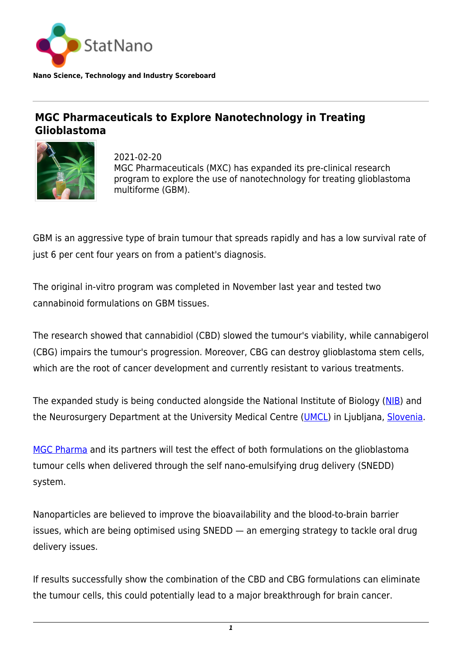

**Nano Science, Technology and Industry Scoreboard**

## **MGC Pharmaceuticals to Explore Nanotechnology in Treating Glioblastoma**



2021-02-20 MGC Pharmaceuticals (MXC) has expanded its pre-clinical research program to explore the use of nanotechnology for treating glioblastoma multiforme (GBM).

GBM is an aggressive type of brain tumour that spreads rapidly and has a low survival rate of just 6 per cent four years on from a patient's diagnosis.

The original in-vitro program was completed in November last year and tested two cannabinoid formulations on GBM tissues.

The research showed that cannabidiol (CBD) slowed the tumour's viability, while cannabigerol (CBG) impairs the tumour's progression. Moreover, CBG can destroy glioblastoma stem cells, which are the root of cancer development and currently resistant to various treatments.

The expanded study is being conducted alongside the National Institute of Biology ([NIB\)](https://www.nib.si/eng/) and the Neurosurgery Department at the University Medical Centre ([UMCL\)](https://www.kclj.si/) in Ljubljana, [Slovenia](http://statnano.com/country/Slovenia).

[MGC Pharma](https://mgcpharma.com.au/) and its partners will test the effect of both formulations on the glioblastoma tumour cells when delivered through the self nano-emulsifying drug delivery (SNEDD) system.

Nanoparticles are believed to improve the bioavailability and the blood-to-brain barrier issues, which are being optimised using SNEDD — an emerging strategy to tackle oral drug delivery issues.

If results successfully show the combination of the CBD and CBG formulations can eliminate the tumour cells, this could potentially lead to a major breakthrough for brain cancer.